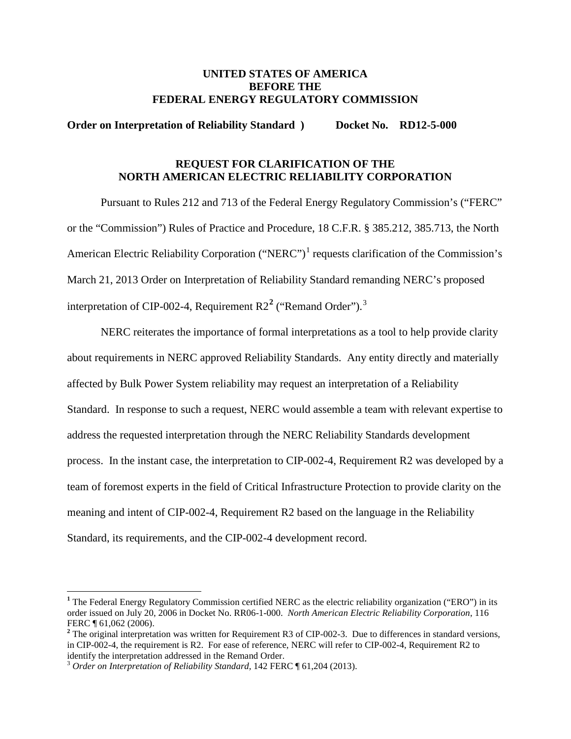### **UNITED STATES OF AMERICA BEFORE THE FEDERAL ENERGY REGULATORY COMMISSION**

#### **Order on Interpretation of Reliability Standard ) Docket No. RD12-5-000**

## **REQUEST FOR CLARIFICATION OF THE NORTH AMERICAN ELECTRIC RELIABILITY CORPORATION**

Pursuant to Rules 212 and 713 of the Federal Energy Regulatory Commission's ("FERC" or the "Commission") Rules of Practice and Procedure, 18 C.F.R. § 385.212, 385.713, the North American Electric Reliability Corporation ("NERC")<sup>[1](#page-0-0)</sup> requests clarification of the Commission's March 21, 2013 Order on Interpretation of Reliability Standard remanding NERC's proposed interpretation of CIP-002-4, Requirement R2**[2](#page-0-1)** ("Remand Order"). [3](#page-0-2)

NERC reiterates the importance of formal interpretations as a tool to help provide clarity about requirements in NERC approved Reliability Standards. Any entity directly and materially affected by Bulk Power System reliability may request an interpretation of a Reliability Standard. In response to such a request, NERC would assemble a team with relevant expertise to address the requested interpretation through the NERC Reliability Standards development process. In the instant case, the interpretation to CIP-002-4, Requirement R2 was developed by a team of foremost experts in the field of Critical Infrastructure Protection to provide clarity on the meaning and intent of CIP-002-4, Requirement R2 based on the language in the Reliability Standard, its requirements, and the CIP-002-4 development record.

<span id="page-0-0"></span>**<sup>1</sup>** The Federal Energy Regulatory Commission certified NERC as the electric reliability organization ("ERO") in its order issued on July 20, 2006 in Docket No. RR06-1-000. *North American Electric Reliability Corporation*, 116 FERC ¶ 61,062 (2006).

<span id="page-0-1"></span><sup>&</sup>lt;sup>2</sup> The original interpretation was written for Requirement R3 of CIP-002-3. Due to differences in standard versions, in CIP-002-4, the requirement is R2. For ease of reference, NERC will refer to CIP-002-4, Requirement R2 to identify the interpretation addressed in the Remand Order.

<span id="page-0-2"></span><sup>&</sup>lt;sup>3</sup> Order on Interpretation of Reliability Standard, 142 FERC ¶ 61,204 (2013).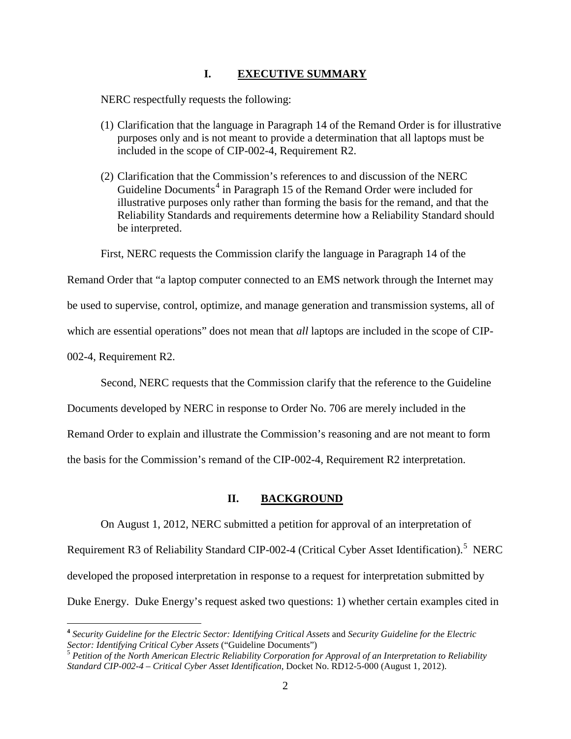#### **I. EXECUTIVE SUMMARY**

NERC respectfully requests the following:

- (1) Clarification that the language in Paragraph 14 of the Remand Order is for illustrative purposes only and is not meant to provide a determination that all laptops must be included in the scope of CIP-002-4, Requirement R2.
- (2) Clarification that the Commission's references to and discussion of the NERC Guideline Documents<sup>[4](#page-1-0)</sup> in Paragraph 15 of the Remand Order were included for illustrative purposes only rather than forming the basis for the remand, and that the Reliability Standards and requirements determine how a Reliability Standard should be interpreted.

First, NERC requests the Commission clarify the language in Paragraph 14 of the

Remand Order that "a laptop computer connected to an EMS network through the Internet may

be used to supervise, control, optimize, and manage generation and transmission systems, all of

which are essential operations" does not mean that *all* laptops are included in the scope of CIP-

002-4, Requirement R2.

Second, NERC requests that the Commission clarify that the reference to the Guideline

Documents developed by NERC in response to Order No. 706 are merely included in the

Remand Order to explain and illustrate the Commission's reasoning and are not meant to form

the basis for the Commission's remand of the CIP-002-4, Requirement R2 interpretation.

#### **II. BACKGROUND**

On August 1, 2012, NERC submitted a petition for approval of an interpretation of

Requirement R3 of Reliability Standard CIP-002-4 (Critical Cyber Asset Identification).<sup>[5](#page-1-1)</sup> NERC

developed the proposed interpretation in response to a request for interpretation submitted by

Duke Energy. Duke Energy's request asked two questions: 1) whether certain examples cited in

<span id="page-1-0"></span>**<sup>4</sup>** *Security Guideline for the Electric Sector: Identifying Critical Assets* and *Security Guideline for the Electric Sector: Identifying Critical Cyber Assets* ("Guideline Documents")

<span id="page-1-1"></span><sup>5</sup> *Petition of the North American Electric Reliability Corporation for Approval of an Interpretation to Reliability Standard CIP-002-4 – Critical Cyber Asset Identification*, Docket No. RD12-5-000 (August 1, 2012).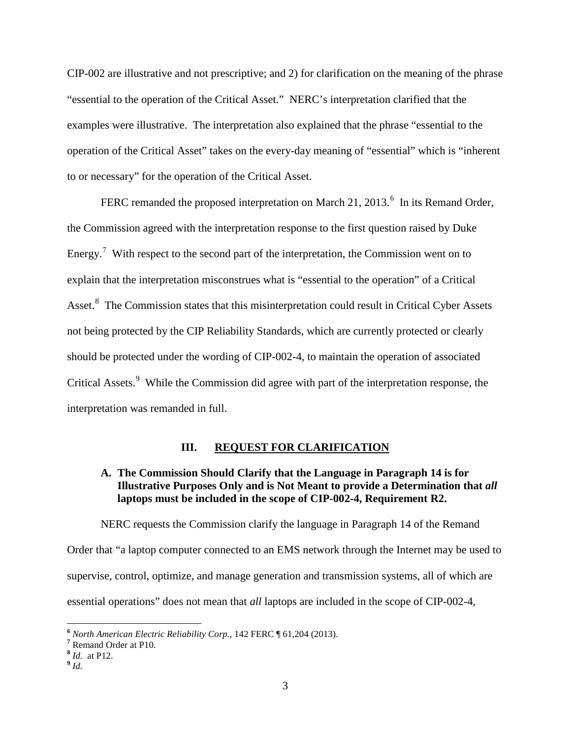CIP-002 are illustrative and not prescriptive; and 2) for clarification on the meaning of the phrase "essential to the operation of the Critical Asset." NERC's interpretation clarified that the examples were illustrative. The interpretation also explained that the phrase "essential to the operation of the Critical Asset" takes on the every-day meaning of "essential" which is "inherent to or necessary" for the operation of the Critical Asset.

FERC remanded the proposed interpretation on March 21, 2013.<sup>[6](#page-2-0)</sup> In its Remand Order, the Commission agreed with the interpretation response to the first question raised by Duke Energy.<sup>[7](#page-2-1)</sup> With respect to the second part of the interpretation, the Commission went on to explain that the interpretation misconstrues what is "essential to the operation" of a Critical Asset.<sup>[8](#page-2-2)</sup> The Commission states that this misinterpretation could result in Critical Cyber Assets not being protected by the CIP Reliability Standards, which are currently protected or clearly should be protected under the wording of CIP-002-4, to maintain the operation of associated Critical Assets.<sup>[9](#page-2-3)</sup> While the Commission did agree with part of the interpretation response, the interpretation was remanded in full.

#### **III. REQUEST FOR CLARIFICATION**

## **A. The Commission Should Clarify that the Language in Paragraph 14 is for Illustrative Purposes Only and is Not Meant to provide a Determination that** *all*  **laptops must be included in the scope of CIP-002-4, Requirement R2.**

NERC requests the Commission clarify the language in Paragraph 14 of the Remand Order that "a laptop computer connected to an EMS network through the Internet may be used to supervise, control, optimize, and manage generation and transmission systems, all of which are essential operations" does not mean that *all* laptops are included in the scope of CIP-002-4,

<span id="page-2-3"></span><span id="page-2-2"></span>**<sup>9</sup>** *Id.* 

<span id="page-2-0"></span>**<sup>6</sup>** *North American Electric Reliability Corp.*, 142 FERC ¶ 61,204 (2013). **<sup>7</sup>** Remand Order at P10.

<span id="page-2-1"></span>

**<sup>8</sup>** *Id.* at P12.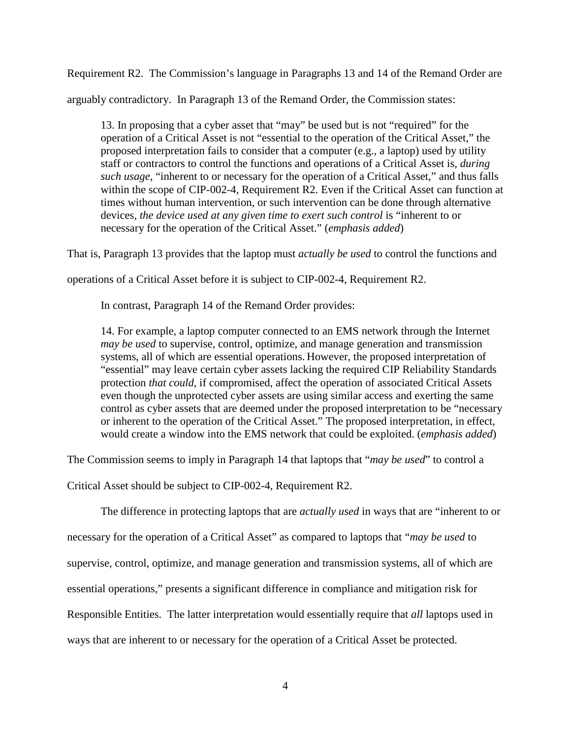Requirement R2. The Commission's language in Paragraphs 13 and 14 of the Remand Order are

arguably contradictory. In Paragraph 13 of the Remand Order, the Commission states:

13. In proposing that a cyber asset that "may" be used but is not "required" for the operation of a Critical Asset is not "essential to the operation of the Critical Asset," the proposed interpretation fails to consider that a computer (e.g., a laptop) used by utility staff or contractors to control the functions and operations of a Critical Asset is, *during such usage*, "inherent to or necessary for the operation of a Critical Asset," and thus falls within the scope of CIP-002-4, Requirement R2. Even if the Critical Asset can function at times without human intervention, or such intervention can be done through alternative devices, *the device used at any given time to exert such control* is "inherent to or necessary for the operation of the Critical Asset." (*emphasis added*)

That is, Paragraph 13 provides that the laptop must *actually be used* to control the functions and

operations of a Critical Asset before it is subject to CIP-002-4, Requirement R2.

In contrast, Paragraph 14 of the Remand Order provides:

14. For example, a laptop computer connected to an EMS network through the Internet *may be used* to supervise, control, optimize, and manage generation and transmission systems, all of which are essential operations. However, the proposed interpretation of "essential" may leave certain cyber assets lacking the required CIP Reliability Standards protection *that could*, if compromised, affect the operation of associated Critical Assets even though the unprotected cyber assets are using similar access and exerting the same control as cyber assets that are deemed under the proposed interpretation to be "necessary or inherent to the operation of the Critical Asset." The proposed interpretation, in effect, would create a window into the EMS network that could be exploited. (*emphasis added*)

The Commission seems to imply in Paragraph 14 that laptops that "*may be used*" to control a

Critical Asset should be subject to CIP-002-4, Requirement R2.

The difference in protecting laptops that are *actually used* in ways that are "inherent to or

necessary for the operation of a Critical Asset" as compared to laptops that "*may be used* to

supervise, control, optimize, and manage generation and transmission systems, all of which are

essential operations," presents a significant difference in compliance and mitigation risk for

Responsible Entities. The latter interpretation would essentially require that *all* laptops used in

ways that are inherent to or necessary for the operation of a Critical Asset be protected.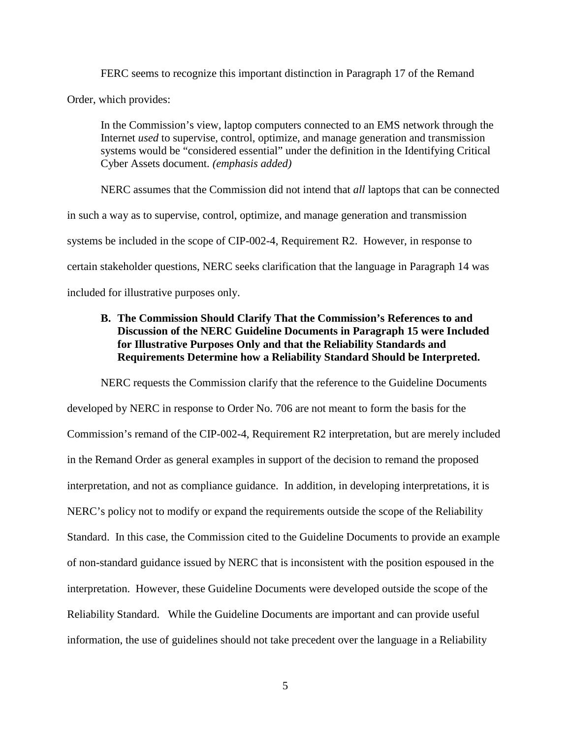FERC seems to recognize this important distinction in Paragraph 17 of the Remand Order, which provides:

In the Commission's view, laptop computers connected to an EMS network through the Internet *used* to supervise, control, optimize, and manage generation and transmission systems would be "considered essential" under the definition in the Identifying Critical Cyber Assets document. *(emphasis added)*

NERC assumes that the Commission did not intend that *all* laptops that can be connected in such a way as to supervise, control, optimize, and manage generation and transmission systems be included in the scope of CIP-002-4, Requirement R2. However, in response to certain stakeholder questions, NERC seeks clarification that the language in Paragraph 14 was included for illustrative purposes only.

## **B. The Commission Should Clarify That the Commission's References to and Discussion of the NERC Guideline Documents in Paragraph 15 were Included for Illustrative Purposes Only and that the Reliability Standards and Requirements Determine how a Reliability Standard Should be Interpreted.**

NERC requests the Commission clarify that the reference to the Guideline Documents developed by NERC in response to Order No. 706 are not meant to form the basis for the Commission's remand of the CIP-002-4, Requirement R2 interpretation, but are merely included in the Remand Order as general examples in support of the decision to remand the proposed interpretation, and not as compliance guidance. In addition, in developing interpretations, it is NERC's policy not to modify or expand the requirements outside the scope of the Reliability Standard. In this case, the Commission cited to the Guideline Documents to provide an example of non-standard guidance issued by NERC that is inconsistent with the position espoused in the interpretation. However, these Guideline Documents were developed outside the scope of the Reliability Standard. While the Guideline Documents are important and can provide useful information, the use of guidelines should not take precedent over the language in a Reliability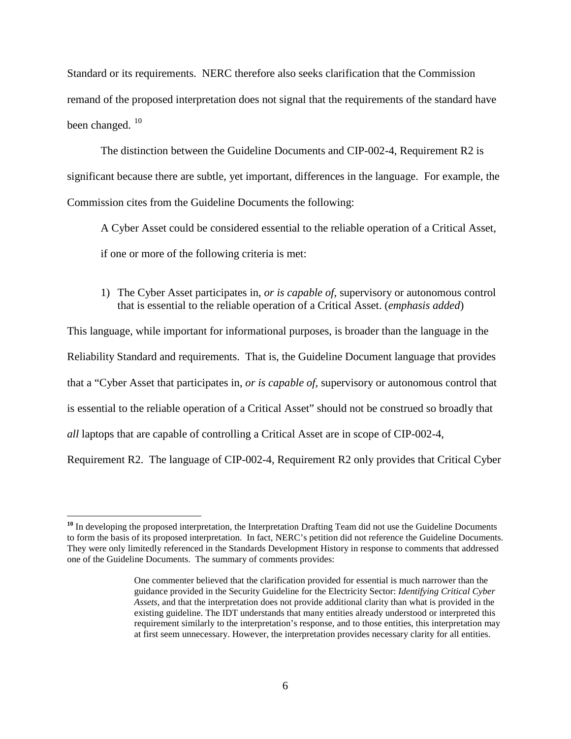Standard or its requirements. NERC therefore also seeks clarification that the Commission remand of the proposed interpretation does not signal that the requirements of the standard have been changed.  $^{10}$  $^{10}$  $^{10}$ 

The distinction between the Guideline Documents and CIP-002-4, Requirement R2 is significant because there are subtle, yet important, differences in the language. For example, the Commission cites from the Guideline Documents the following:

A Cyber Asset could be considered essential to the reliable operation of a Critical Asset, if one or more of the following criteria is met:

1) The Cyber Asset participates in, *or is capable of*, supervisory or autonomous control that is essential to the reliable operation of a Critical Asset. (*emphasis added*)

This language, while important for informational purposes, is broader than the language in the Reliability Standard and requirements. That is, the Guideline Document language that provides that a "Cyber Asset that participates in, *or is capable of,* supervisory or autonomous control that is essential to the reliable operation of a Critical Asset" should not be construed so broadly that *all* laptops that are capable of controlling a Critical Asset are in scope of CIP-002-4, Requirement R2. The language of CIP-002-4, Requirement R2 only provides that Critical Cyber

<span id="page-5-0"></span>**<sup>10</sup>** In developing the proposed interpretation, the Interpretation Drafting Team did not use the Guideline Documents to form the basis of its proposed interpretation. In fact, NERC's petition did not reference the Guideline Documents. They were only limitedly referenced in the Standards Development History in response to comments that addressed one of the Guideline Documents. The summary of comments provides:

One commenter believed that the clarification provided for essential is much narrower than the guidance provided in the Security Guideline for the Electricity Sector: *Identifying Critical Cyber Assets*, and that the interpretation does not provide additional clarity than what is provided in the existing guideline. The IDT understands that many entities already understood or interpreted this requirement similarly to the interpretation's response, and to those entities, this interpretation may at first seem unnecessary. However, the interpretation provides necessary clarity for all entities.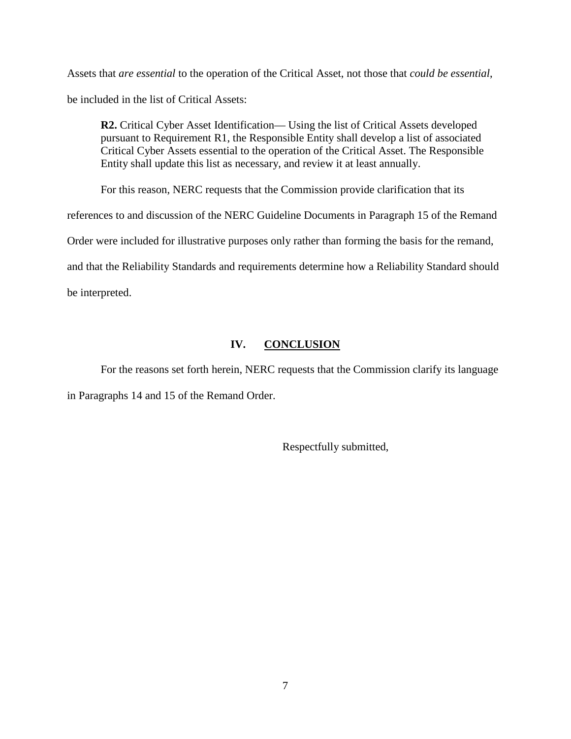Assets that *are essential* to the operation of the Critical Asset, not those that *could be essential*, be included in the list of Critical Assets:

**R2.** Critical Cyber Asset Identification— Using the list of Critical Assets developed pursuant to Requirement R1, the Responsible Entity shall develop a list of associated Critical Cyber Assets essential to the operation of the Critical Asset. The Responsible Entity shall update this list as necessary, and review it at least annually.

For this reason, NERC requests that the Commission provide clarification that its

references to and discussion of the NERC Guideline Documents in Paragraph 15 of the Remand

Order were included for illustrative purposes only rather than forming the basis for the remand,

and that the Reliability Standards and requirements determine how a Reliability Standard should

be interpreted.

## **IV. CONCLUSION**

For the reasons set forth herein, NERC requests that the Commission clarify its language in Paragraphs 14 and 15 of the Remand Order.

Respectfully submitted,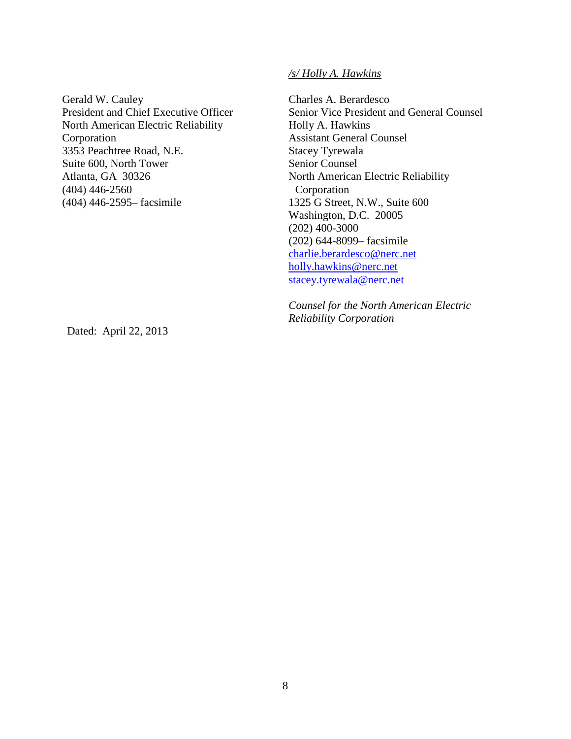*/s/ Holly A. Hawkins*

Gerald W. Cauley President and Chief Executive Officer North American Electric Reliability Corporation 3353 Peachtree Road, N.E. Suite 600, North Tower Atlanta, GA 30326 (404) 446-2560 (404) 446-2595– facsimile

Charles A. Berardesco Senior Vice President and General Counsel Holly A. Hawkins Assistant General Counsel Stacey Tyrewala Senior Counsel North American Electric Reliability Corporation 1325 G Street, N.W., Suite 600 Washington, D.C. 20005 (202) 400-3000 (202) 644-8099– facsimile [charlie.berardesco@nerc.net](mailto:charlie.berardesco@nerc.net) [holly.hawkins@nerc.net](mailto:holly.hawkins@nerc.net) [stacey.tyrewala@nerc.net](mailto:stacey.tyrewala@nerc.net)

*Counsel for the North American Electric Reliability Corporation*

Dated: April 22, 2013